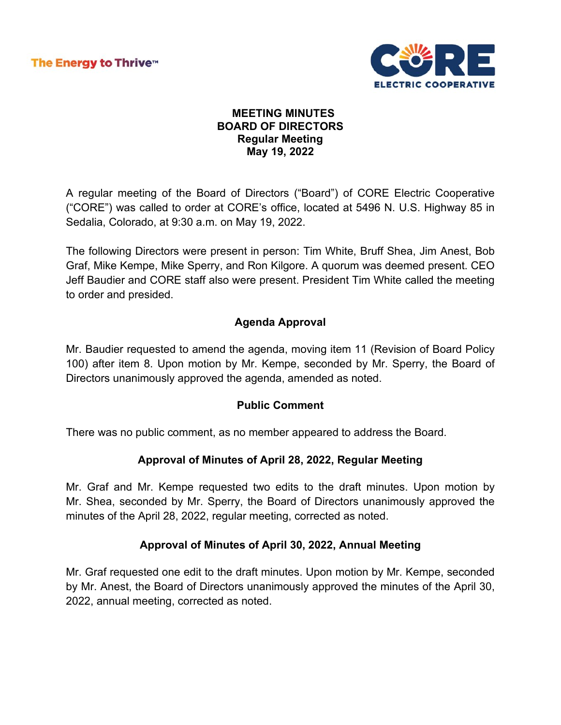

#### **MEETING MINUTES BOARD OF DIRECTORS Regular Meeting May 19, 2022**

A regular meeting of the Board of Directors ("Board") of CORE Electric Cooperative ("CORE") was called to order at CORE's office, located at 5496 N. U.S. Highway 85 in Sedalia, Colorado, at 9:30 a.m. on May 19, 2022.

The following Directors were present in person: Tim White, Bruff Shea, Jim Anest, Bob Graf, Mike Kempe, Mike Sperry, and Ron Kilgore. A quorum was deemed present. CEO Jeff Baudier and CORE staff also were present. President Tim White called the meeting to order and presided.

# **Agenda Approval**

Mr. Baudier requested to amend the agenda, moving item 11 (Revision of Board Policy 100) after item 8. Upon motion by Mr. Kempe, seconded by Mr. Sperry, the Board of Directors unanimously approved the agenda, amended as noted.

## **Public Comment**

There was no public comment, as no member appeared to address the Board.

## **Approval of Minutes of April 28, 2022, Regular Meeting**

Mr. Graf and Mr. Kempe requested two edits to the draft minutes. Upon motion by Mr. Shea, seconded by Mr. Sperry, the Board of Directors unanimously approved the minutes of the April 28, 2022, regular meeting, corrected as noted.

## **Approval of Minutes of April 30, 2022, Annual Meeting**

Mr. Graf requested one edit to the draft minutes. Upon motion by Mr. Kempe, seconded by Mr. Anest, the Board of Directors unanimously approved the minutes of the April 30, 2022, annual meeting, corrected as noted.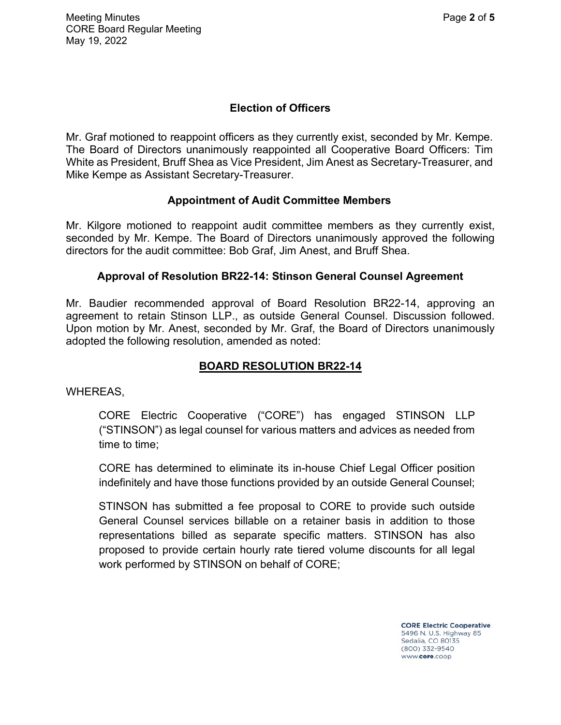# **Election of Officers**

Mr. Graf motioned to reappoint officers as they currently exist, seconded by Mr. Kempe. The Board of Directors unanimously reappointed all Cooperative Board Officers: Tim White as President, Bruff Shea as Vice President, Jim Anest as Secretary-Treasurer, and Mike Kempe as Assistant Secretary-Treasurer.

## **Appointment of Audit Committee Members**

Mr. Kilgore motioned to reappoint audit committee members as they currently exist, seconded by Mr. Kempe. The Board of Directors unanimously approved the following directors for the audit committee: Bob Graf, Jim Anest, and Bruff Shea.

#### **Approval of Resolution BR22-14: Stinson General Counsel Agreement**

Mr. Baudier recommended approval of Board Resolution BR22-14, approving an agreement to retain Stinson LLP., as outside General Counsel. Discussion followed. Upon motion by Mr. Anest, seconded by Mr. Graf, the Board of Directors unanimously adopted the following resolution, amended as noted:

# **BOARD RESOLUTION BR22-14**

WHEREAS,

CORE Electric Cooperative ("CORE") has engaged STINSON LLP ("STINSON") as legal counsel for various matters and advices as needed from time to time;

CORE has determined to eliminate its in-house Chief Legal Officer position indefinitely and have those functions provided by an outside General Counsel;

STINSON has submitted a fee proposal to CORE to provide such outside General Counsel services billable on a retainer basis in addition to those representations billed as separate specific matters. STINSON has also proposed to provide certain hourly rate tiered volume discounts for all legal work performed by STINSON on behalf of CORE;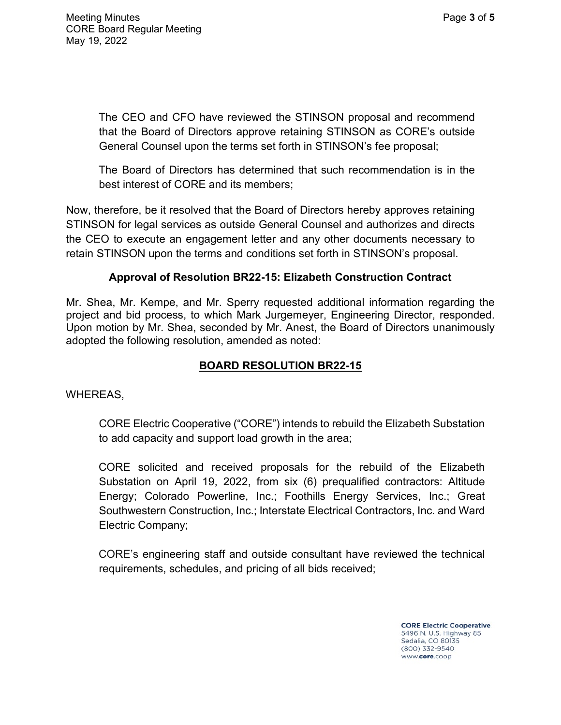The CEO and CFO have reviewed the STINSON proposal and recommend that the Board of Directors approve retaining STINSON as CORE's outside General Counsel upon the terms set forth in STINSON's fee proposal;

The Board of Directors has determined that such recommendation is in the best interest of CORE and its members;

Now, therefore, be it resolved that the Board of Directors hereby approves retaining STINSON for legal services as outside General Counsel and authorizes and directs the CEO to execute an engagement letter and any other documents necessary to retain STINSON upon the terms and conditions set forth in STINSON's proposal.

## **Approval of Resolution BR22-15: Elizabeth Construction Contract**

Mr. Shea, Mr. Kempe, and Mr. Sperry requested additional information regarding the project and bid process, to which Mark Jurgemeyer, Engineering Director, responded. Upon motion by Mr. Shea, seconded by Mr. Anest, the Board of Directors unanimously adopted the following resolution, amended as noted:

# **BOARD RESOLUTION BR22-15**

WHEREAS,

CORE Electric Cooperative ("CORE") intends to rebuild the Elizabeth Substation to add capacity and support load growth in the area;

CORE solicited and received proposals for the rebuild of the Elizabeth Substation on April 19, 2022, from six (6) prequalified contractors: Altitude Energy; Colorado Powerline, Inc.; Foothills Energy Services, Inc.; Great Southwestern Construction, Inc.; Interstate Electrical Contractors, Inc. and Ward Electric Company;

CORE's engineering staff and outside consultant have reviewed the technical requirements, schedules, and pricing of all bids received;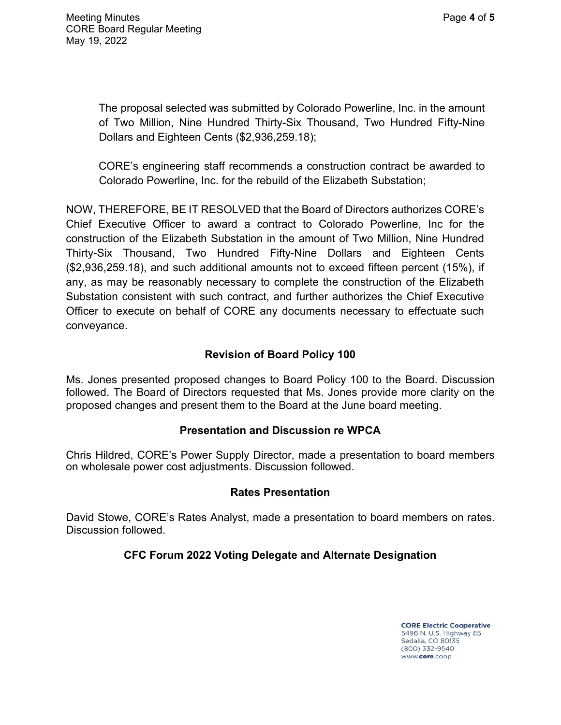The proposal selected was submitted by Colorado Powerline, Inc. in the amount of Two Million, Nine Hundred Thirty-Six Thousand, Two Hundred Fifty-Nine Dollars and Eighteen Cents (\$2,936,259.18);

CORE's engineering staff recommends a construction contract be awarded to Colorado Powerline, Inc. for the rebuild of the Elizabeth Substation;

NOW, THEREFORE, BE IT RESOLVED that the Board of Directors authorizes CORE's Chief Executive Officer to award a contract to Colorado Powerline, Inc for the construction of the Elizabeth Substation in the amount of Two Million, Nine Hundred Thirty-Six Thousand, Two Hundred Fifty-Nine Dollars and Eighteen Cents (\$2,936,259.18), and such additional amounts not to exceed fifteen percent (15%), if any, as may be reasonably necessary to complete the construction of the Elizabeth Substation consistent with such contract, and further authorizes the Chief Executive Officer to execute on behalf of CORE any documents necessary to effectuate such conveyance.

# **Revision of Board Policy 100**

Ms. Jones presented proposed changes to Board Policy 100 to the Board. Discussion followed. The Board of Directors requested that Ms. Jones provide more clarity on the proposed changes and present them to the Board at the June board meeting.

## **Presentation and Discussion re WPCA**

Chris Hildred, CORE's Power Supply Director, made a presentation to board members on wholesale power cost adjustments. Discussion followed.

#### **Rates Presentation**

David Stowe, CORE's Rates Analyst, made a presentation to board members on rates. Discussion followed.

## **CFC Forum 2022 Voting Delegate and Alternate Designation**